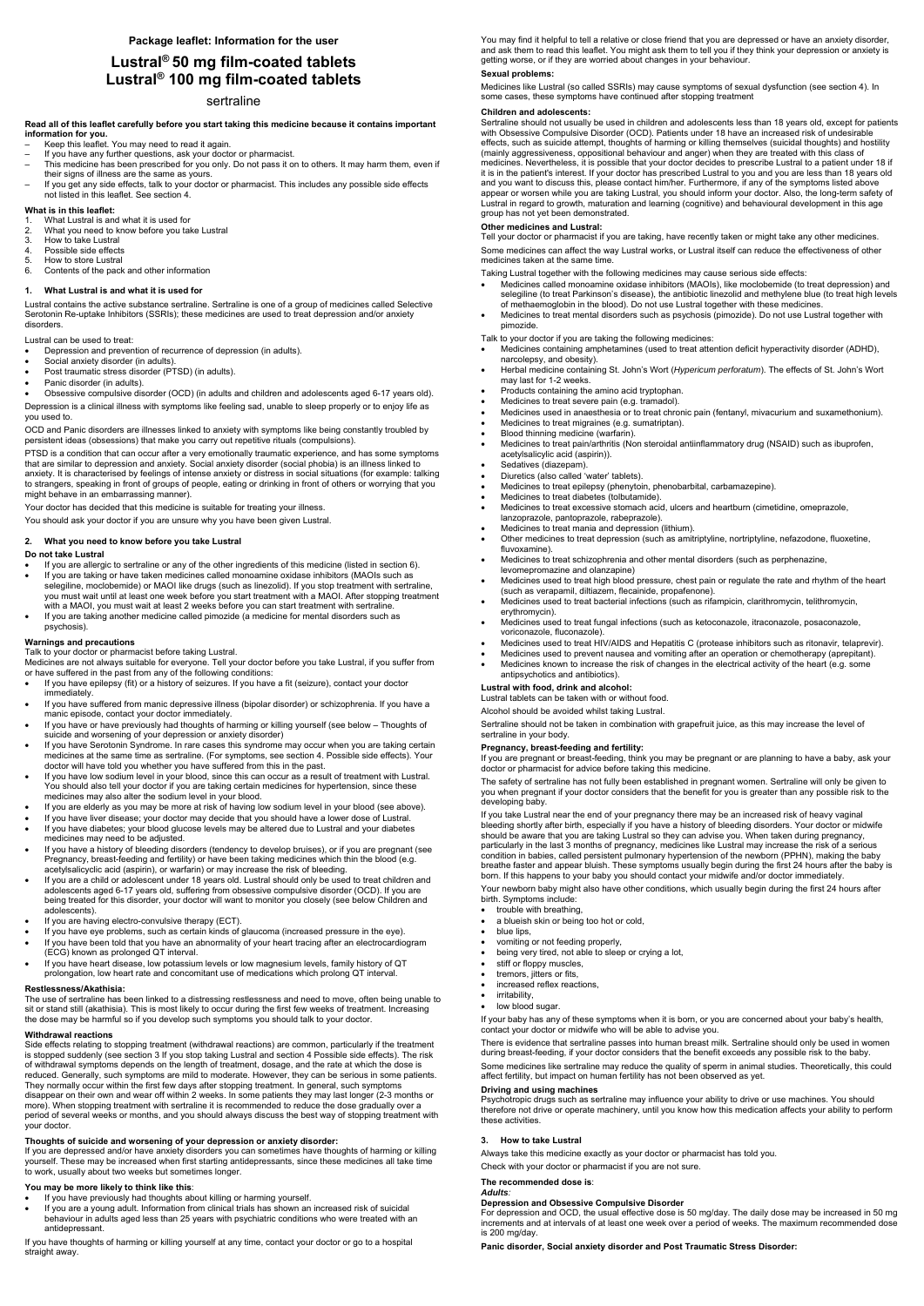# **Lustral® 50 mg film-coated tablets Lustral® 100 mg film-coated tablets**

# sertraline

**Read all of this leaflet carefully before you start taking this medicine because it contains important information for you.** 

- Keep this leaflet. You may need to read it again.
- If you have any further questions, ask your doctor or pharmacist.
- This medicine has been prescribed for you only. Do not pass it on to others. It may harm them, even if their signs of illness are the same as yours.
- If you get any side effects, talk to your doctor or pharmacist. This includes any possible side effects not listed in this leaflet. See section 4.

#### **What is in this leaflet:**

- 1. What Lustral is and what it is used for
- 2. What you need to know before you take Lustral
- 3. How to take Lustral<br>4. Possible side effect
- Possible side effects
- 5. How to store Lustral
- 6. Contents of the pack and other information

#### **1. What Lustral is and what it is used for**

Lustral contains the active substance sertraline. Sertraline is one of a group of medicines called Selective Serotonin Re-uptake Inhibitors (SSRIs); these medicines are used to treat depression and/or anxiety disorders.

Lustral can be used to treat:

- Depression and prevention of recurrence of depression (in adults).
- Social anxiety disorder (in adults).
- Post traumatic stress disorder (PTSD) (in adults).
- Panic disorder (in adults).

Obsessive compulsive disorder (OCD) (in adults and children and adolescents aged 6-17 years old).

Depression is a clinical illness with symptoms like feeling sad, unable to sleep properly or to enjoy life as you used to.

OCD and Panic disorders are illnesses linked to anxiety with symptoms like being constantly troubled by persistent ideas (obsessions) that make you carry out repetitive rituals (compulsions).

PTSD is a condition that can occur after a very emotionally traumatic experience, and has some symptoms that are similar to depression and anxiety. Social anxiety disorder (social phobia) is an illness linked to anxiety. It is characterised by feelings of intense anxiety or distress in social situations (for example: talking to strangers, speaking in front of groups of people, eating or drinking in front of others or worrying that you might behave in an embarrassing manner).

Your doctor has decided that this medicine is suitable for treating your illness.

You should ask your doctor if you are unsure why you have been given Lustral.

## **2. What you need to know before you take Lustral**

#### **Do not take Lustral**

- If you are allergic to sertraline or any of the other ingredients of this medicine (listed in section 6). If you are taking or have taken medicines called monoamine oxidase inhibitors (MAOIs such as
- selegiline, moclobemide) or MAOI like drugs (such as linezolid). If you stop treatment with sertraline, you must wait until at least one week before you start treatment with a MAOI. After stopping treatment with a MAOI, you must wait at least 2 weeks before you can start treatment with sertraline.
- If you are taking another medicine called pimozide (a medicine for mental disorders such as psychosis).

The use of sertraline has been linked to a distressing restlessness and need to move, often being unable to sit or stand still (akathisia). This is most likely to occur during the first few weeks of treatment. Increasing the dose may be harmful so if you develop such symptoms you should talk to your doctor.

#### **Warnings and precautions**

# Talk to your doctor or pharmacist before taking Lustral.

Medicines are not always suitable for everyone. Tell your doctor before you take Lustral, if you suffer from or have suffered in the past from any of the following conditions:

- If you have epilepsy (fit) or a history of seizures. If you have a fit (seizure), contact your doctor immediately.
- If you have suffered from manic depressive illness (bipolar disorder) or schizophrenia. If you have a manic episode, contact your doctor immediately.
- If you have or have previously had thoughts of harming or killing yourself (see below Thoughts of suicide and worsening of your depression or anxiety disorder)
- If you have Serotonin Syndrome. In rare cases this syndrome may occur when you are taking certain medicines at the same time as sertraline. (For symptoms, see section 4. Possible side effects). Your doctor will have told you whether you have suffered from this in the past.
- If you have low sodium level in your blood, since this can occur as a result of treatment with Lustral. You should also tell your doctor if you are taking certain medicines for hypertension, since these medicines may also alter the sodium level in your blood.
- If you are elderly as you may be more at risk of having low sodium level in your blood (see above).
- If you have liver disease; your doctor may decide that you should have a lower dose of Lustral.
- If you have diabetes; your blood glucose levels may be altered due to Lustral and your diabetes medicines may need to be adjusted.
- If you have a history of bleeding disorders (tendency to develop bruises), or if you are pregnant (see Pregnancy, breast-feeding and fertility) or have been taking medicines which thin the blood (e.g. acetylsalicyclic acid (aspirin), or warfarin) or may increase the risk of bleeding.
- If you are a child or adolescent under 18 years old. Lustral should only be used to treat children and adolescents aged 6-17 years old, suffering from obsessive compulsive disorder (OCD). If you are being treated for this disorder, your doctor will want to monitor you closely (see below Children and adolescents).
- If you are having electro-convulsive therapy (ECT).
- If you have eye problems, such as certain kinds of glaucoma (increased pressure in the eye).
- If you have been told that you have an abnormality of your heart tracing after an electrocardiogram (ECG) known as prolonged QT interval.
- If you have heart disease, low potassium levels or low magnesium levels, family history of QT prolongation, low heart rate and concomitant use of medications which prolong QT interval.
- 

#### **Restlessness/Akathisia:**

# **Withdrawal reactions**

Side effects relating to stopping treatment (withdrawal reactions) are common, particularly if the treatment is stopped suddenly (see section 3 If you stop taking Lustral and section 4 Possible side effects). The risk of withdrawal symptoms depends on the length of treatment, dosage, and the rate at which the dose is reduced. Generally, such symptoms are mild to moderate. However, they can be serious in some patients. They normally occur within the first few days after stopping treatment. In general, such symptoms disappear on their own and wear off within 2 weeks. In some patients they may last longer (2-3 months or more). When stopping treatment with sertraline it is recommended to reduce the dose gradually over a period of several weeks or months, and you should always discuss the best way of stopping treatment with your doctor.

- trouble with breathing,
- a blueish skin or being too hot or cold,
- blue lips,
- vomiting or not feeding properly,
- being very tired, not able to sleep or crying a lot,
- 
- stiff or floppy muscles, tremors, jitters or fits,

- increased reflex reacti
- irritability,
- low blood sugar.

## **Thoughts of suicide and worsening of your depression or anxiety disorder:**

If you are depressed and/or have anxiety disorders you can sometimes have thoughts of harming or killing yourself. These may be increased when first starting antidepressants, since these medicines all take time to work, usually about two weeks but sometimes longer.

## **You may be more likely to think like this**:

- If you have previously had thoughts about killing or harming yourself.
- If you are a young adult. Information from clinical trials has shown an increased risk of suicidal behaviour in adults aged less than 25 years with psychiatric conditions who were treated with an antidepressant.

If you have thoughts of harming or killing yourself at any time, contact your doctor or go to a hospital straight away.

You may find it helpful to tell a relative or close friend that you are depressed or have an anxiety disorder, and ask them to read this leaflet. You might ask them to tell you if they think your depression or anxiety is getting worse, or if they are worried about changes in your behaviour.

# **Sexual problems:**

Medicines like Lustral (so called SSRIs) may cause symptoms of sexual dysfunction (see section 4). In some cases, these symptoms have continued after stopping treatment

## **Children and adolescents:**

Sertraline should not usually be used in children and adolescents less than 18 years old, except for patients with Obsessive Compulsive Disorder (OCD). Patients under 18 have an increased risk of undesirable effects, such as suicide attempt, thoughts of harming or killing themselves (suicidal thoughts) and hostility (mainly aggressiveness, oppositional behaviour and anger) when they are treated with this class of medicines. Nevertheless, it is possible that your doctor decides to prescribe Lustral to a patient under 18 if it is in the patient's interest. If your doctor has prescribed Lustral to you and you are less than 18 years old and you want to discuss this, please contact him/her. Furthermore, if any of the symptoms listed above appear or worsen while you are taking Lustral, you should inform your doctor. Also, the long-term safety of Lustral in regard to growth, maturation and learning (cognitive) and behavioural development in this age group has not yet been demonstrated.

# **Other medicines and Lustral:**

Tell your doctor or pharmacist if you are taking, have recently taken or might take any other medicines. Some medicines can affect the way Lustral works, or Lustral itself can reduce the effectiveness of other medicines taken at the same time.

Taking Lustral together with the following medicines may cause serious side effects:

- Medicines called monoamine oxidase inhibitors (MAOIs), like moclobemide (to treat depression) and selegiline (to treat Parkinson's disease), the antibiotic linezolid and methylene blue (to treat high levels of methaemoglobin in the blood). Do not use Lustral together with these medicines.
- Medicines to treat mental disorders such as psychosis (pimozide). Do not use Lustral together with pimozide.

Talk to your doctor if you are taking the following medicines:

- Medicines containing amphetamines (used to treat attention deficit hyperactivity disorder (ADHD), narcolepsy, and obesity).
- Herbal medicine containing St. John's Wort (*Hypericum perforatum*). The effects of St. John's Wort may last for 1-2 weeks.
- Products containing the amino acid tryptophan.
- Medicines to treat severe pain (e.g. tramadol).
- Medicines used in anaesthesia or to treat chronic pain (fentanyl, mivacurium and suxamethonium).
- Medicines to treat migraines (e.g. sumatriptan).
- Blood thinning medicine (warfarin).
- Medicines to treat pain/arthritis (Non steroidal antiinflammatory drug (NSAID) such as ibuprofen, acetylsalicylic acid (aspirin)).
- Sedatives (diazepam).
- Diuretics (also called 'water' tablets).
- Medicines to treat epilepsy (phenytoin, phenobarbital, carbamazepine).
- Medicines to treat diabetes (tolbutamide).
- Medicines to treat excessive stomach acid, ulcers and heartburn (cimetidine, omeprazole, lanzoprazole, pantoprazole, rabeprazole).
- Medicines to treat mania and depression (lithium).
- Other medicines to treat depression (such as amitriptyline, nortriptyline, nefazodone, fluoxetine, fluvoxamine).
- Medicines to treat schizophrenia and other mental disorders (such as perphenazine, levomepromazine and olanzapine)
- Medicines used to treat high blood pressure, chest pain or regulate the rate and rhythm of the heart (such as verapamil, diltiazem, flecainide, propafenone).
- Medicines used to treat bacterial infections (such as rifampicin, clarithromycin, telithromycin, erythromycin).
- Medicines used to treat fungal infections (such as ketoconazole, itraconazole, posaconazole, voriconazole, fluconazole).
- Medicines used to treat HIV/AIDS and Hepatitis C (protease inhibitors such as ritonavir, telaprevir).
- Medicines used to prevent nausea and vomiting after an operation or chemotherapy (aprepitant).
- Medicines known to increase the risk of changes in the electrical activity of the heart (e.g. some antipsychotics and antibiotics).

#### **Lustral with food, drink and alcohol:**

Lustral tablets can be taken with or without food.

Alcohol should be avoided whilst taking Lustral.

Sertraline should not be taken in combination with grapefruit juice, as this may increase the level of sertraline in your body.

## **Pregnancy, breast-feeding and fertility:**

If you are pregnant or breast-feeding, think you may be pregnant or are planning to have a baby, ask your doctor or pharmacist for advice before taking this medicine.

The safety of sertraline has not fully been established in pregnant women. Sertraline will only be given to you when pregnant if your doctor considers that the benefit for you is greater than any possible risk to the developing baby.

If you take Lustral near the end of your pregnancy there may be an increased risk of heavy vaginal bleeding shortly after birth, especially if you have a history of bleeding disorders. Your doctor or midwife should be aware that you are taking Lustral so they can advise you. When taken during pregnancy, particularly in the last 3 months of pregnancy, medicines like Lustral may increase the risk of a serious condition in babies, called persistent pulmonary hypertension of the newborn (PPHN), making the baby breathe faster and appear bluish. These symptoms usually begin during the first 24 hours after the baby is born. If this happens to your baby you should contact your midwife and/or doctor immediately.

Your newborn baby might also have other conditions, which usually begin during the first 24 hours after birth. Symptoms include:

If your baby has any of these symptoms when it is born, or you are concerned about your baby's health, contact your doctor or midwife who will be able to advise you.

There is evidence that sertraline passes into human breast milk. Sertraline should only be used in women during breast-feeding, if your doctor considers that the benefit exceeds any possible risk to the baby.

Some medicines like sertraline may reduce the quality of sperm in animal studies. Theoretically, this could affect fertility, but impact on human fertility has not been observed as yet.

#### **Driving and using machines**

Psychotropic drugs such as sertraline may influence your ability to drive or use machines. You should therefore not drive or operate machinery, until you know how this medication affects your ability to perform these activities.

# **3. How to take Lustral**

Always take this medicine exactly as your doctor or pharmacist has told you.

Check with your doctor or pharmacist if you are not sure.

# **The recommended dose is**:

#### *Adults:*

## **Depression and Obsessive Compulsive Disorder**

For depression and OCD, the usual effective dose is 50 mg/day. The daily dose may be increased in 50 mg increments and at intervals of at least one week over a period of weeks. The maximum recommended dose is 200 mg/day.

**Panic disorder, Social anxiety disorder and Post Traumatic Stress Disorder:**